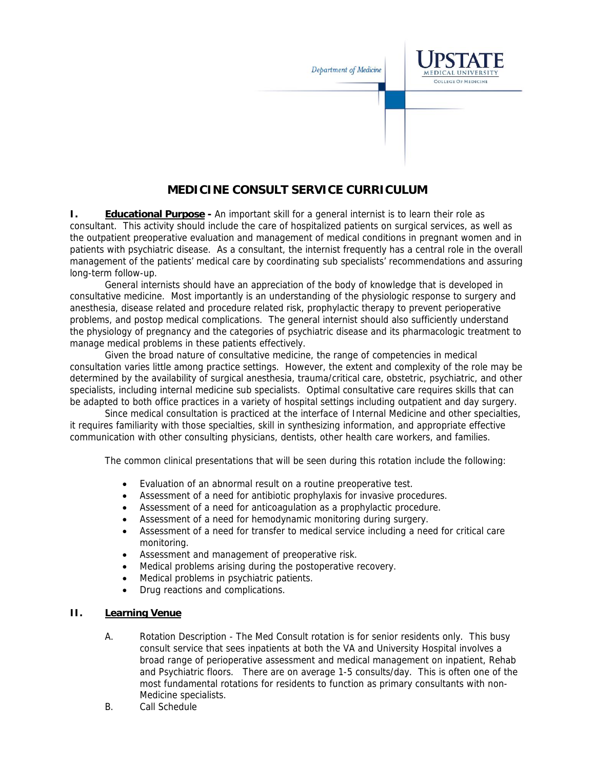

## **MEDICINE CONSULT SERVICE CURRICULUM**

**I.** Educational Purpose - An important skill for a general internist is to learn their role as consultant. This activity should include the care of hospitalized patients on surgical services, as well as the outpatient preoperative evaluation and management of medical conditions in pregnant women and in patients with psychiatric disease. As a consultant, the internist frequently has a central role in the overall management of the patients' medical care by coordinating sub specialists' recommendations and assuring long-term follow-up.

General internists should have an appreciation of the body of knowledge that is developed in consultative medicine. Most importantly is an understanding of the physiologic response to surgery and anesthesia, disease related and procedure related risk, prophylactic therapy to prevent perioperative problems, and postop medical complications. The general internist should also sufficiently understand the physiology of pregnancy and the categories of psychiatric disease and its pharmacologic treatment to manage medical problems in these patients effectively.

Given the broad nature of consultative medicine, the range of competencies in medical consultation varies little among practice settings. However, the extent and complexity of the role may be determined by the availability of surgical anesthesia, trauma/critical care, obstetric, psychiatric, and other specialists, including internal medicine sub specialists. Optimal consultative care requires skills that can be adapted to both office practices in a variety of hospital settings including outpatient and day surgery.

Since medical consultation is practiced at the interface of Internal Medicine and other specialties, it requires familiarity with those specialties, skill in synthesizing information, and appropriate effective communication with other consulting physicians, dentists, other health care workers, and families.

The common clinical presentations that will be seen during this rotation include the following:

- Evaluation of an abnormal result on a routine preoperative test.
- Assessment of a need for antibiotic prophylaxis for invasive procedures.
- Assessment of a need for anticoagulation as a prophylactic procedure.
- Assessment of a need for hemodynamic monitoring during surgery.
- Assessment of a need for transfer to medical service including a need for critical care monitoring.
- Assessment and management of preoperative risk.
- Medical problems arising during the postoperative recovery.
- Medical problems in psychiatric patients.
- Drug reactions and complications.

## **II. Learning Venue**

- A. Rotation Description The Med Consult rotation is for senior residents only. This busy consult service that sees inpatients at both the VA and University Hospital involves a broad range of perioperative assessment and medical management on inpatient, Rehab and Psychiatric floors. There are on average 1-5 consults/day. This is often one of the most fundamental rotations for residents to function as primary consultants with non-Medicine specialists.
- B. Call Schedule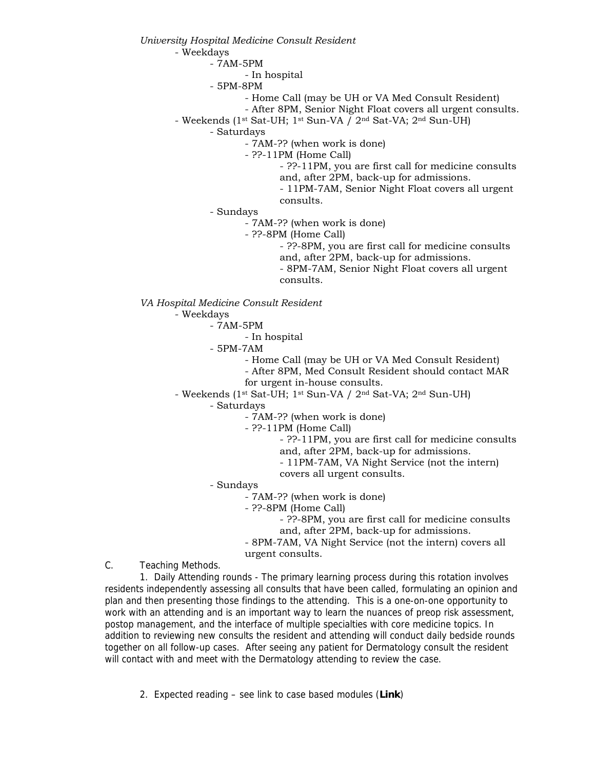*University Hospital Medicine Consult Resident*

- Weekdays

- 7AM-5PM

- In hospital

- 5PM-8PM

- Home Call (may be UH or VA Med Consult Resident)
- After 8PM, Senior Night Float covers all urgent consults.
- Weekends (1st Sat-UH; 1st Sun-VA / 2nd Sat-VA; 2nd Sun-UH)

- Saturdays

- 7AM-?? (when work is done)

- ??-11PM (Home Call)

- ??-11PM, you are first call for medicine consults and, after 2PM, back-up for admissions.

- 11PM-7AM, Senior Night Float covers all urgent consults.

- Sundays

- 7AM-?? (when work is done)

- ??-8PM (Home Call)

- ??-8PM, you are first call for medicine consults and, after 2PM, back-up for admissions.

- 8PM-7AM, Senior Night Float covers all urgent consults.

*VA Hospital Medicine Consult Resident*

- Weekdays

- 7AM-5PM

- In hospital

- 5PM-7AM

- Home Call (may be UH or VA Med Consult Resident)

- After 8PM, Med Consult Resident should contact MAR

for urgent in-house consults.

- Weekends (1st Sat-UH; 1st Sun-VA / 2nd Sat-VA; 2nd Sun-UH)

- Saturdays

- 7AM-?? (when work is done)

- ??-11PM (Home Call)

- ??-11PM, you are first call for medicine consults

- and, after 2PM, back-up for admissions.
- 11PM-7AM, VA Night Service (not the intern) covers all urgent consults.

- Sundays

- 7AM-?? (when work is done)

- ??-8PM (Home Call)

- ??-8PM, you are first call for medicine consults and, after 2PM, back-up for admissions.

- 8PM-7AM, VA Night Service (not the intern) covers all urgent consults.

C. Teaching Methods.

1. Daily Attending rounds - The primary learning process during this rotation involves residents independently assessing all consults that have been called, formulating an opinion and plan and then presenting those findings to the attending. This is a one-on-one opportunity to work with an attending and is an important way to learn the nuances of preop risk assessment, postop management, and the interface of multiple specialties with core medicine topics. In addition to reviewing new consults the resident and attending will conduct daily bedside rounds together on all follow-up cases. After seeing any patient for Dermatology consult the resident will contact with and meet with the Dermatology attending to review the case.

2. Expected reading – see link to case based modules (**Link**)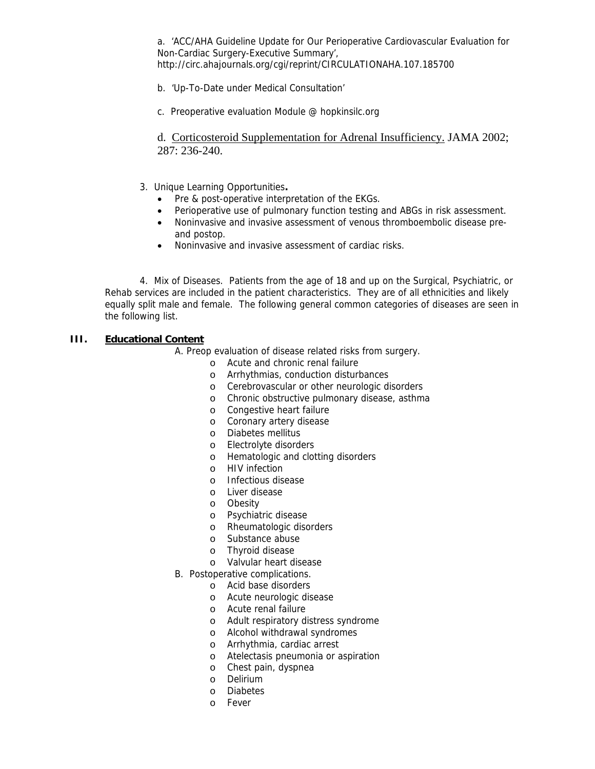a. 'ACC/AHA Guideline Update for Our Perioperative Cardiovascular Evaluation for Non-Cardiac Surgery-Executive Summary', http://circ.ahajournals.org/cgi/reprint/CIRCULATIONAHA.107.185700

- b. 'Up-To-Date under Medical Consultation'
- c. Preoperative evaluation Module @ hopkinsilc.org

d. Corticosteroid Supplementation for Adrenal Insufficiency. JAMA 2002; 287: 236-240.

- 3. Unique Learning Opportunities**.** 
	- Pre & post-operative interpretation of the EKGs.
	- Perioperative use of pulmonary function testing and ABGs in risk assessment.
	- Noninvasive and invasive assessment of venous thromboembolic disease preand postop.
	- Noninvasive and invasive assessment of cardiac risks.

4. Mix of Diseases. Patients from the age of 18 and up on the Surgical, Psychiatric, or Rehab services are included in the patient characteristics. They are of all ethnicities and likely equally split male and female. The following general common categories of diseases are seen in the following list.

## **III. Educational Content**

A. Preop evaluation of disease related risks from surgery.

- o Acute and chronic renal failure
- o Arrhythmias, conduction disturbances
- o Cerebrovascular or other neurologic disorders
- o Chronic obstructive pulmonary disease, asthma
- o Congestive heart failure
- o Coronary artery disease
- o Diabetes mellitus
- o Electrolyte disorders
- o Hematologic and clotting disorders
- o HIV infection
- o Infectious disease
- o Liver disease
- o Obesity
- o Psychiatric disease
- o Rheumatologic disorders
- o Substance abuse
- o Thyroid disease
- o Valvular heart disease
- B. Postoperative complications.
	- o Acid base disorders
	- o Acute neurologic disease
	- o Acute renal failure
	- o Adult respiratory distress syndrome
	- o Alcohol withdrawal syndromes
	- o Arrhythmia, cardiac arrest
	- o Atelectasis pneumonia or aspiration
	- o Chest pain, dyspnea
	- o Delirium
	- o Diabetes
	- o Fever